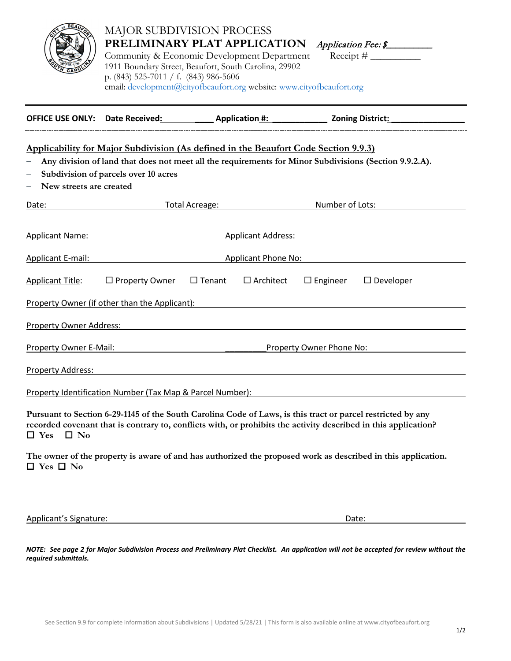|                                                                                                                                      | p. (843) 525-7011 / f. (843) 986-5606 | <b>MAJOR SUBDIVISION PROCESS</b><br>PRELIMINARY PLAT APPLICATION<br>Community & Economic Development Department<br>1911 Boundary Street, Beaufort, South Carolina, 29902<br>email: development@cityofbeaufort.org website: www.cityofbeaufort.org | Application Fee: \$                                                                                                                                                                                                            |
|--------------------------------------------------------------------------------------------------------------------------------------|---------------------------------------|---------------------------------------------------------------------------------------------------------------------------------------------------------------------------------------------------------------------------------------------------|--------------------------------------------------------------------------------------------------------------------------------------------------------------------------------------------------------------------------------|
|                                                                                                                                      |                                       |                                                                                                                                                                                                                                                   | OFFICE USE ONLY: Date Received: _____________ Application #: _______________ Zoning District: ___________                                                                                                                      |
| New streets are created                                                                                                              | Subdivision of parcels over 10 acres  | <u>Applicability for Major Subdivision (As defined in the Beaufort Code Section 9.9.3)</u>                                                                                                                                                        | Any division of land that does not meet all the requirements for Minor Subdivisions (Section 9.9.2.A).                                                                                                                         |
| Date:                                                                                                                                |                                       | <b>Example 2018</b> Total Acreage: <b>Acreage: Acreage: Acreage: Acreage: Acreage: Acreage: Acre</b>                                                                                                                                              | Number of Lots:                                                                                                                                                                                                                |
| <b>Applicant Name:</b>                                                                                                               |                                       |                                                                                                                                                                                                                                                   | Applicant Address: Applicant Address:                                                                                                                                                                                          |
| Applicant E-mail:<br>Applicant Phone No: Applicant Phone No:                                                                         |                                       |                                                                                                                                                                                                                                                   |                                                                                                                                                                                                                                |
| <b>Applicant Title:</b>                                                                                                              | $\Box$ Property Owner                 | $\Box$ Tenant<br>$\Box$ Architect                                                                                                                                                                                                                 | $\Box$ Engineer<br>$\Box$ Developer<br>Property Owner (if other than the Applicant): The state of the state of the state of the state of the state of                                                                          |
| <b>Property Owner Address:</b>                                                                                                       |                                       |                                                                                                                                                                                                                                                   |                                                                                                                                                                                                                                |
| Property Owner E-Mail:                                                                                                               |                                       | <u> 1980 - Johann Barbara, martin a</u>                                                                                                                                                                                                           | Property Owner Phone No:                                                                                                                                                                                                       |
| <b>Property Address:</b>                                                                                                             |                                       |                                                                                                                                                                                                                                                   |                                                                                                                                                                                                                                |
| Property Identification Number (Tax Map & Parcel Number):                                                                            |                                       |                                                                                                                                                                                                                                                   |                                                                                                                                                                                                                                |
| $\Box$ No<br>$\Box$ Yes                                                                                                              |                                       |                                                                                                                                                                                                                                                   | Pursuant to Section 6-29-1145 of the South Carolina Code of Laws, is this tract or parcel restricted by any<br>recorded covenant that is contrary to, conflicts with, or prohibits the activity described in this application? |
| The owner of the property is aware of and has authorized the proposed work as described in this application.<br>$\Box$ Yes $\Box$ No |                                       |                                                                                                                                                                                                                                                   |                                                                                                                                                                                                                                |
| <b>Applicant's Signature:</b>                                                                                                        |                                       |                                                                                                                                                                                                                                                   | Date:                                                                                                                                                                                                                          |

*NOTE: See page 2 for Major Subdivision Process and Preliminary Plat Checklist. An application will not be accepted for review without the required submittals.*